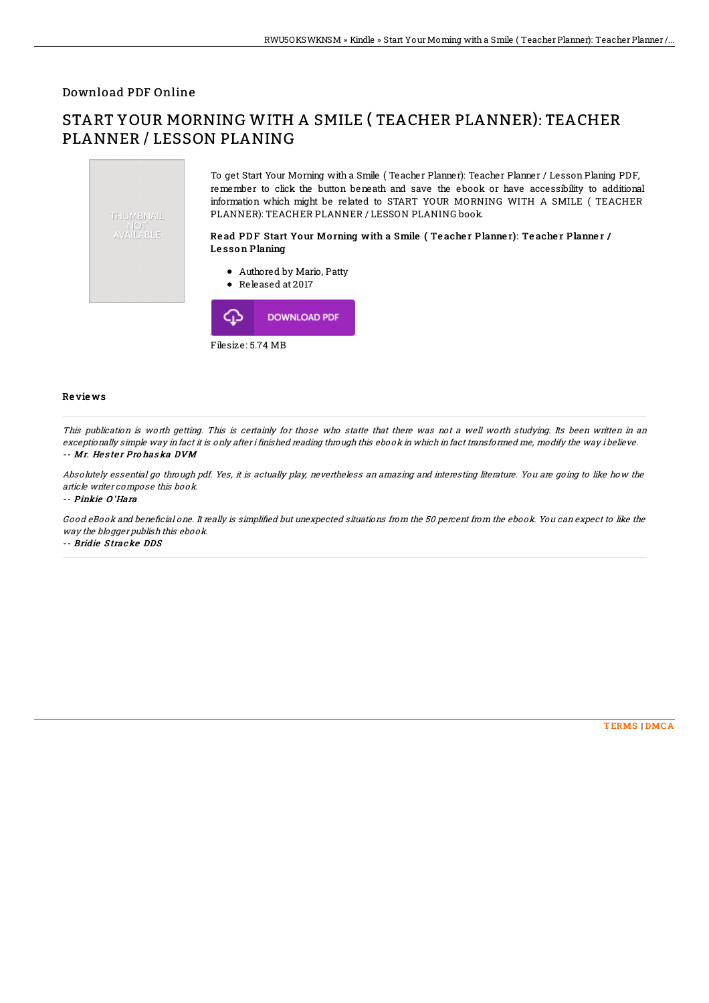## Download PDF Online

## START YOUR MORNING WITH A SMILE ( TEACHER PLANNER): TEACHER PLANNER / LESSON PLANING



Filesize: 5.74 MB

## Re vie ws

This publication is worth getting. This is certainly for those who statte that there was not <sup>a</sup> well worth studying. Its been written in an exceptionally simple way in fact it is only after i finished reading through this ebook in which in fact transformed me, modify the way i believe. -- Mr. Hester Pro haska DVM

Absolutely essential go through pdf. Yes, it is actually play, nevertheless an amazing and interesting literature. You are going to like how the article writer compose this book.

-- Pinkie O 'Hara

Good eBook and beneficial one. It really is simplified but unexpected situations from the 50 percent from the ebook. You can expect to like the way the blogger publish this ebook.

-- Bridie S tracke DDS